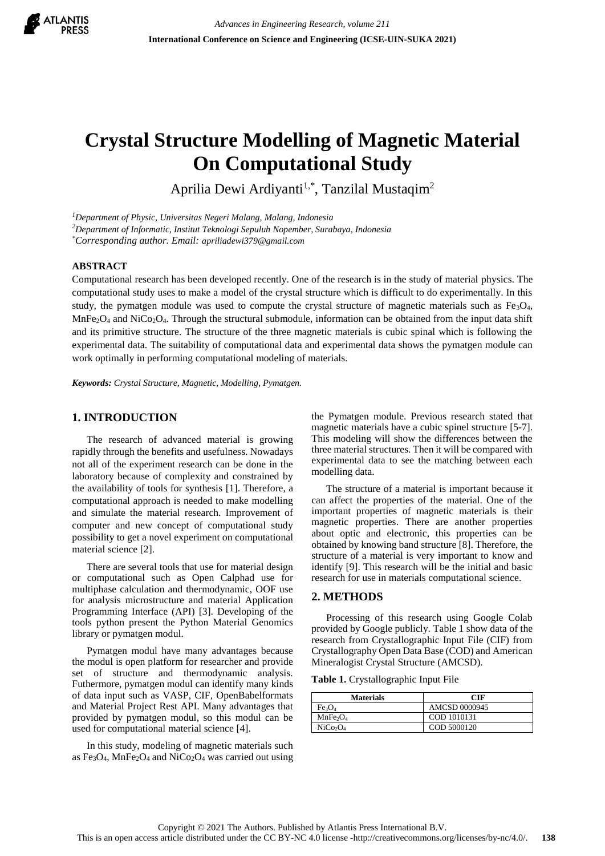

# **Crystal Structure Modelling of Magnetic Material On Computational Study**

Aprilia Dewi Ardiyanti<sup>1,\*</sup>, Tanzilal Mustaqim<sup>2</sup>

*<sup>1</sup>Department of Physic, Universitas Negeri Malang, Malang, Indonesia*

*<sup>2</sup>Department of Informatic, Institut Teknologi Sepuluh Nopember, Surabaya, Indonesia*

*\*Corresponding author. Email: apriliadewi379@gmail.com*

#### **ABSTRACT**

Computational research has been developed recently. One of the research is in the study of material physics. The computational study uses to make a model of the crystal structure which is difficult to do experimentally. In this study, the pymatgen module was used to compute the crystal structure of magnetic materials such as Fe<sub>3</sub>O<sub>4</sub>,  $MnFe<sub>2</sub>O<sub>4</sub>$  and NiCo<sub>2</sub>O<sub>4</sub>. Through the structural submodule, information can be obtained from the input data shift and its primitive structure. The structure of the three magnetic materials is cubic spinal which is following the experimental data. The suitability of computational data and experimental data shows the pymatgen module can work optimally in performing computational modeling of materials.

*Keywords: Crystal Structure, Magnetic, Modelling, Pymatgen.*

### **1. INTRODUCTION**

The research of advanced material is growing rapidly through the benefits and usefulness. Nowadays not all of the experiment research can be done in the laboratory because of complexity and constrained by the availability of tools for synthesis [\[1\]](#page-3-0). Therefore, a computational approach is needed to make modelling and simulate the material research. Improvement of computer and new concept of computational study possibility to get a novel experiment on computational material science [\[2\]](#page-3-1).

There are several tools that use for material design or computational such as Open Calphad use for multiphase calculation and thermodynamic, OOF use for analysis microstructure and material Application Programming Interface (API) [\[3\]](#page-3-2). Developing of the tools python present the Python Material Genomics library or pymatgen modul.

Pymatgen modul have many advantages because the modul is open platform for researcher and provide set of structure and thermodynamic analysis. Futhermore, pymatgen modul can identify many kinds of data input such as VASP, CIF, OpenBabelformats and Material Project Rest API. Many advantages that provided by pymatgen modul, so this modul can be used for computational material science [\[4\]](#page-3-3).

In this study, modeling of magnetic materials such as  $Fe<sub>3</sub>O<sub>4</sub>$ , MnFe<sub>2</sub>O<sub>4</sub> and NiCo<sub>2</sub>O<sub>4</sub> was carried out using the Pymatgen module. Previous research stated that magnetic materials have a cubic spinel structure [\[5-7\]](#page-3-4). This modeling will show the differences between the three material structures. Then it will be compared with experimental data to see the matching between each modelling data.

The structure of a material is important because it can affect the properties of the material. One of the important properties of magnetic materials is their magnetic properties. There are another properties about optic and electronic, this properties can be obtained by knowing band structure [\[8\]](#page-3-5). Therefore, the structure of a material is very important to know and identify [\[9\]](#page-3-6). This research will be the initial and basic research for use in materials computational science.

#### **2. METHODS**

Processing of this research using Google Colab provided by Google publicly. Table 1 show data of the research from Crystallographic Input File (CIF) from Crystallography Open Data Base (COD) and American Mineralogist Crystal Structure (AMCSD).

**Table 1.** Crystallographic Input File

| <b>Materials</b>                 | <b>CIF</b>    |  |  |
|----------------------------------|---------------|--|--|
| Fe <sub>3</sub> O <sub>4</sub>   | AMCSD 0000945 |  |  |
| MnFe <sub>2</sub> O <sub>4</sub> | COD 1010131   |  |  |
| NiCo <sub>2</sub> O <sub>4</sub> | COD 5000120   |  |  |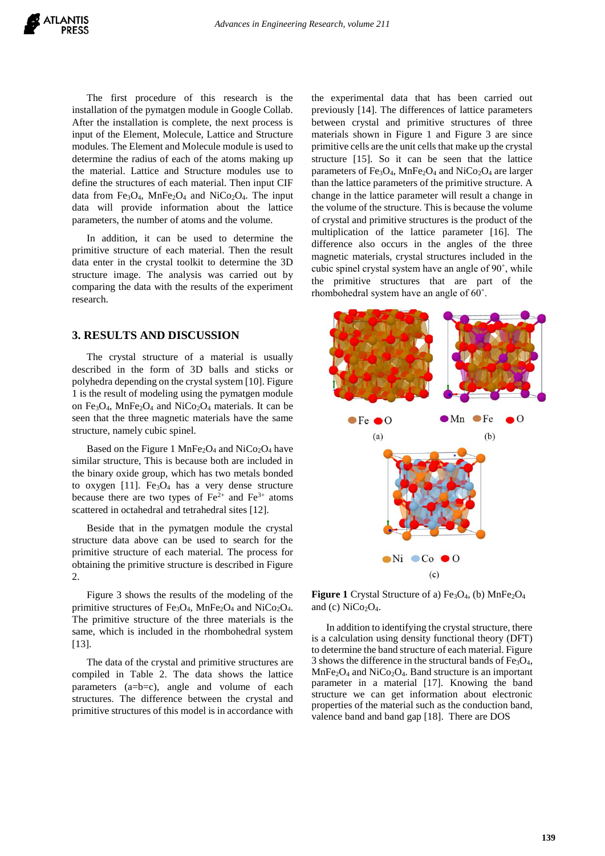The first procedure of this research is the installation of the pymatgen module in Google Collab. After the installation is complete, the next process is input of the Element, Molecule, Lattice and Structure modules. The Element and Molecule module is used to determine the radius of each of the atoms making up the material. Lattice and Structure modules use to define the structures of each material. Then input CIF data from Fe<sub>3</sub>O<sub>4</sub>, MnFe<sub>2</sub>O<sub>4</sub> and NiCo<sub>2</sub>O<sub>4</sub>. The input data will provide information about the lattice parameters, the number of atoms and the volume.

In addition, it can be used to determine the primitive structure of each material. Then the result data enter in the crystal toolkit to determine the 3D structure image. The analysis was carried out by comparing the data with the results of the experiment research.

# **3. RESULTS AND DISCUSSION**

The crystal structure of a material is usually described in the form of 3D balls and sticks or polyhedra depending on the crystal system [10]. Figure 1 is the result of modeling using the pymatgen module on Fe<sub>3</sub>O<sub>4</sub>, MnFe<sub>2</sub>O<sub>4</sub> and NiCo<sub>2</sub>O<sub>4</sub> materials. It can be seen that the three magnetic materials have the same structure, namely cubic spinel.

Based on the Figure 1 MnFe<sub>2</sub>O<sub>4</sub> and NiCo<sub>2</sub>O<sub>4</sub> have similar structure, This is because both are included in the binary oxide group, which has two metals bonded to oxygen [11]. Fe<sub>3</sub>O<sub>4</sub> has a very dense structure because there are two types of  $Fe^{2+}$  and  $Fe^{3+}$  atoms scattered in octahedral and tetrahedral sites [12].

Beside that in the pymatgen module the crystal structure data above can be used to search for the primitive structure of each material. The process for obtaining the primitive structure is described in Figure 2.

Figure 3 shows the results of the modeling of the primitive structures of Fe<sub>3</sub>O<sub>4</sub>, MnFe<sub>2</sub>O<sub>4</sub> and NiCo<sub>2</sub>O<sub>4</sub>. The primitive structure of the three materials is the same, which is included in the rhombohedral system [13].

The data of the crystal and primitive structures are compiled in Table 2. The data shows the lattice parameters (a=b=c), angle and volume of each structures. The difference between the crystal and primitive structures of this model is in accordance with the experimental data that has been carried out previously [14]. The differences of lattice parameters between crystal and primitive structures of three materials shown in Figure 1 and Figure 3 are since primitive cells are the unit cells that make up the crystal structure [15]. So it can be seen that the lattice parameters of Fe<sub>3</sub>O<sub>4</sub>, MnFe<sub>2</sub>O<sub>4</sub> and NiCo<sub>2</sub>O<sub>4</sub> are larger than the lattice parameters of the primitive structure. A change in the lattice parameter will result a change in the volume of the structure. This is because the volume of crystal and primitive structures is the product of the multiplication of the lattice parameter [16]. The difference also occurs in the angles of the three magnetic materials, crystal structures included in the cubic spinel crystal system have an angle of 90˚, while the primitive structures that are part of the rhombohedral system have an angle of 60˚.



Figure 1 Crystal Structure of a) Fe<sub>3</sub>O<sub>4</sub>, (b) MnFe<sub>2</sub>O<sub>4</sub> and (c)  $NiCo<sub>2</sub>O<sub>4</sub>$ .

In addition to identifying the crystal structure, there is a calculation using density functional theory (DFT) to determine the band structure of each material. Figure 3 shows the difference in the structural bands of  $Fe<sub>3</sub>O<sub>4</sub>$ ,  $MnFe<sub>2</sub>O<sub>4</sub>$  and NiCo<sub>2</sub>O<sub>4</sub>. Band structure is an important parameter in a material [17]. Knowing the band structure we can get information about electronic properties of the material such as the conduction band, valence band and band gap [18]. There are DOS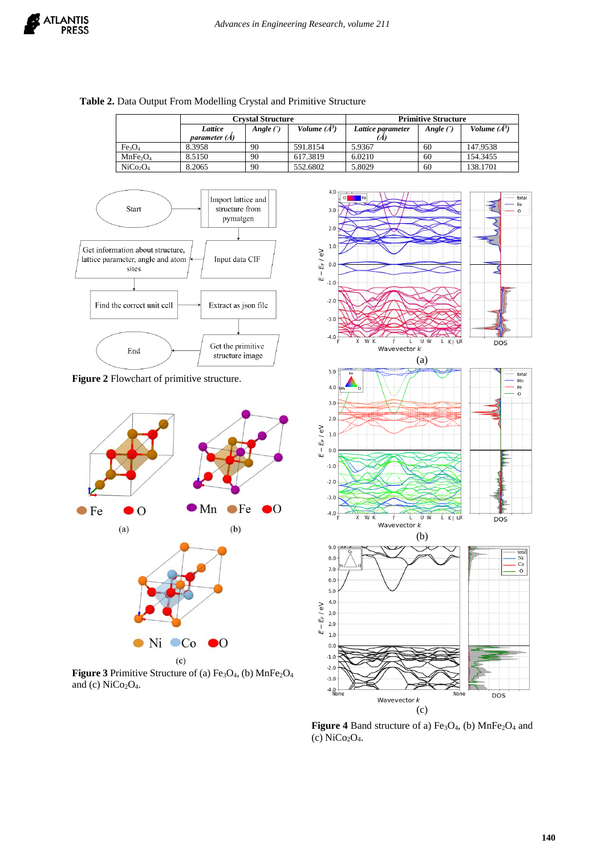|                                  |                                 | <b>Crvstal Structure</b> |                | <b>Primitive Structure</b> |             |                |
|----------------------------------|---------------------------------|--------------------------|----------------|----------------------------|-------------|----------------|
|                                  | Lattice<br><i>parameter (Å)</i> | Angle $(°)$              | Volume $(A^3)$ | Lattice parameter          | Angle $(°)$ | Volume $(A^3)$ |
| Fe <sub>3</sub> O <sub>4</sub>   | 8.3958                          | 90                       | 591.8154       | 5.9367                     | 60          | 147.9538       |
| MnFe <sub>2</sub>                | 8.5150                          | 90                       | 617.3819       | 6.0210                     | 60          | 154.3455       |
| NiCo <sub>2</sub> O <sub>4</sub> | 8.2065                          | 90                       | 552.6802       | 5.8029                     | 60          | 138.1701       |

## **Table 2.** Data Output From Modelling Crystal and Primitive Structure



**Figure 2** Flowchart of primitive structure.



Figure 3 Primitive Structure of (a) Fe<sub>3</sub>O<sub>4</sub>, (b) MnFe<sub>2</sub>O<sub>4</sub> and (c)  $NiCo<sub>2</sub>O<sub>4</sub>$ .



Figure 4 Band structure of a) Fe<sub>3</sub>O<sub>4</sub>, (b) MnFe<sub>2</sub>O<sub>4</sub> and (c) NiCo2O4.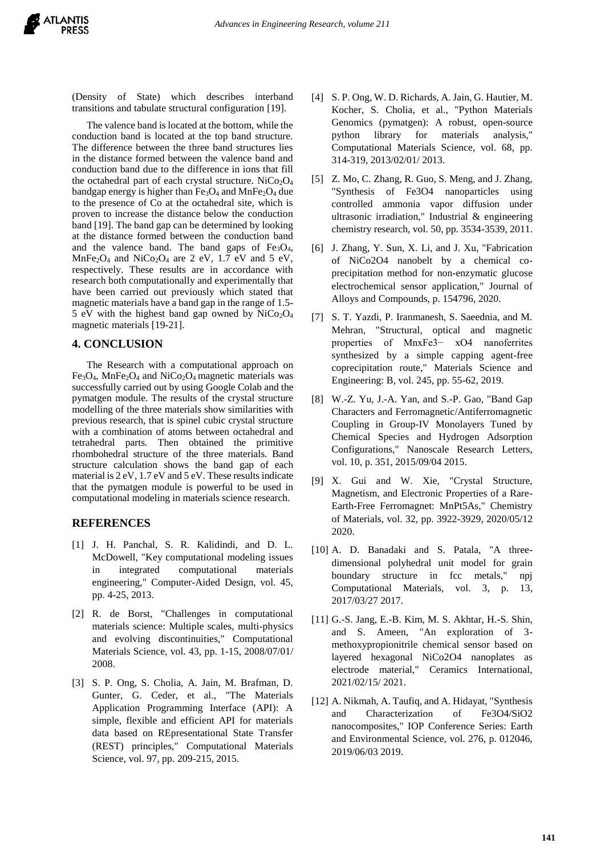(Density of State) which describes interband transitions and tabulate structural configuration [19].

The valence band is located at the bottom, while the conduction band is located at the top band structure. The difference between the three band structures lies in the distance formed between the valence band and conduction band due to the difference in ions that fill the octahedral part of each crystal structure. NiCo<sub>2</sub>O<sub>4</sub> bandgap energy is higher than Fe<sub>3</sub>O<sub>4</sub> and MnFe<sub>2</sub>O<sub>4</sub> due to the presence of Co at the octahedral site, which is proven to increase the distance below the conduction band [19]. The band gap can be determined by looking at the distance formed between the conduction band and the valence band. The band gaps of  $Fe<sub>3</sub>O<sub>4</sub>$ , MnFe<sub>2</sub>O<sub>4</sub> and NiCo<sub>2</sub>O<sub>4</sub> are 2 eV, 1.7 eV and 5 eV, respectively. These results are in accordance with research both computationally and experimentally that have been carried out previously which stated that magnetic materials have a band gap in the range of 1.5- 5 eV with the highest band gap owned by  $NiCo<sub>2</sub>O<sub>4</sub>$ magnetic materials [\[19-21\]](#page-4-0).

### **4. CONCLUSION**

The Research with a computational approach on  $Fe<sub>3</sub>O<sub>4</sub>$ , MnFe<sub>2</sub>O<sub>4</sub> and NiCo<sub>2</sub>O<sub>4</sub> magnetic materials was successfully carried out by using Google Colab and the pymatgen module. The results of the crystal structure modelling of the three materials show similarities with previous research, that is spinel cubic crystal structure with a combination of atoms between octahedral and tetrahedral parts. Then obtained the primitive rhombohedral structure of the three materials. Band structure calculation shows the band gap of each material is 2 eV, 1.7 eV and 5 eV. These results indicate that the pymatgen module is powerful to be used in computational modeling in materials science research.

## **REFERENCES**

- <span id="page-3-0"></span>[1] J. H. Panchal, S. R. Kalidindi, and D. L. McDowell, "Key computational modeling issues in integrated computational materials engineering," Computer-Aided Design, vol. 45, pp. 4-25, 2013.
- <span id="page-3-1"></span>[2] R. de Borst, "Challenges in computational materials science: Multiple scales, multi-physics and evolving discontinuities," Computational Materials Science, vol. 43, pp. 1-15, 2008/07/01/ 2008.
- <span id="page-3-2"></span>[3] S. P. Ong, S. Cholia, A. Jain, M. Brafman, D. Gunter, G. Ceder, et al., "The Materials Application Programming Interface (API): A simple, flexible and efficient API for materials data based on REpresentational State Transfer (REST) principles," Computational Materials Science, vol. 97, pp. 209-215, 2015.
- <span id="page-3-3"></span>[4] S. P. Ong, W. D. Richards, A. Jain, G. Hautier, M. Kocher, S. Cholia, et al., "Python Materials Genomics (pymatgen): A robust, open-source python library for materials analysis," Computational Materials Science, vol. 68, pp. 314-319, 2013/02/01/ 2013.
- <span id="page-3-4"></span>[5] Z. Mo, C. Zhang, R. Guo, S. Meng, and J. Zhang, "Synthesis of Fe3O4 nanoparticles using controlled ammonia vapor diffusion under ultrasonic irradiation," Industrial & engineering chemistry research, vol. 50, pp. 3534-3539, 2011.
- [6] J. Zhang, Y. Sun, X. Li, and J. Xu, "Fabrication of NiCo2O4 nanobelt by a chemical coprecipitation method for non-enzymatic glucose electrochemical sensor application," Journal of Alloys and Compounds, p. 154796, 2020.
- [7] S. T. Yazdi, P. Iranmanesh, S. Saeednia, and M. Mehran, "Structural, optical and magnetic properties of MnxFe3− xO4 nanoferrites synthesized by a simple capping agent-free coprecipitation route," Materials Science and Engineering: B, vol. 245, pp. 55-62, 2019.
- <span id="page-3-5"></span>[8] W.-Z. Yu, J.-A. Yan, and S.-P. Gao, "Band Gap Characters and Ferromagnetic/Antiferromagnetic Coupling in Group-IV Monolayers Tuned by Chemical Species and Hydrogen Adsorption Configurations," Nanoscale Research Letters, vol. 10, p. 351, 2015/09/04 2015.
- <span id="page-3-6"></span>[9] X. Gui and W. Xie, "Crystal Structure, Magnetism, and Electronic Properties of a Rare-Earth-Free Ferromagnet: MnPt5As," Chemistry of Materials, vol. 32, pp. 3922-3929, 2020/05/12 2020.
- [10] A. D. Banadaki and S. Patala, "A threedimensional polyhedral unit model for grain boundary structure in fcc metals," npi Computational Materials, vol. 3, p. 13, 2017/03/27 2017.
- [11] G.-S. Jang, E.-B. Kim, M. S. Akhtar, H.-S. Shin, and S. Ameen, "An exploration of 3 methoxypropionitrile chemical sensor based on layered hexagonal NiCo2O4 nanoplates as electrode material," Ceramics International, 2021/02/15/ 2021.
- [12] A. Nikmah, A. Taufiq, and A. Hidayat, "Synthesis" and Characterization of Fe3O4/SiO2 nanocomposites," IOP Conference Series: Earth and Environmental Science, vol. 276, p. 012046, 2019/06/03 2019.